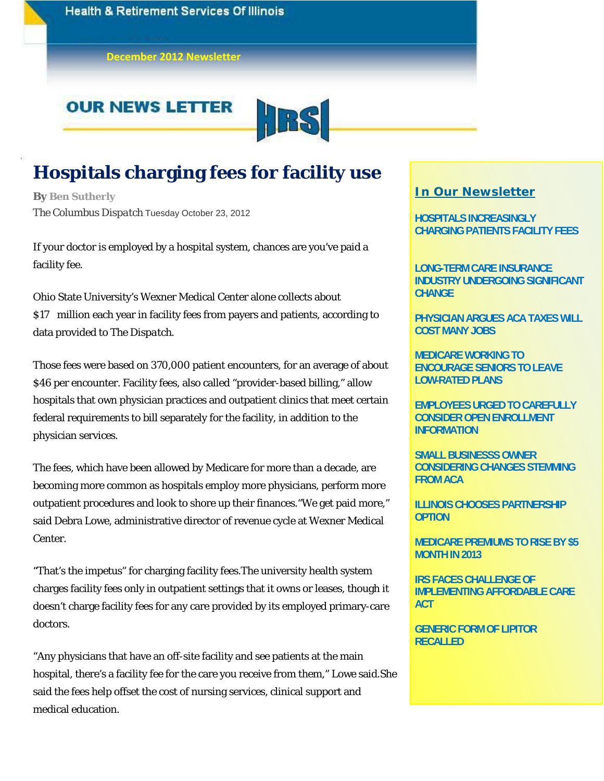

### **Hospitals charging fees for facility use**

**By Ben Sutherly** *The Columbus Dispatch* Tuesday October 23, 2012

If your doctor is employed by a hospital system, chances are you've paid a facility fee.

Ohio State University's Wexner Medical Center alone collects about \$17 million each year in facility fees from payers and patients, according to data provided to *The Dispatch*.

Those fees were based on 370,000 patient encounters, for an average of about \$46 per encounter. Facility fees, also called "provider-based billing," allow hospitals that own physician practices and outpatient clinics that meet certain federal requirements to bill separately for the facility, in addition to the physician services.

The fees, which have been allowed by Medicare for more than a decade, are becoming more common as hospitals employ more physicians, perform more outpatient procedures and look to shore up their finances."We get paid more," said Debra Lowe, administrative director of revenue cycle at Wexner Medical Center.

"That's the impetus" for charging facility fees.The university health system charges facility fees only in outpatient settings that it owns or leases, though it doesn't charge facility fees for any care provided by its employed primary-care doctors.

"Any physicians that have an off-site facility and see patients at the main hospital, there's a facility fee for the care you receive from them," Lowe said.She said the fees help offset the cost of nursing services, clinical support and medical education.

### **In Our Newsletter**

**HOSPITALS INCREASINGLY CHARGING PATIENTS FACILITY FEES** 

**LONG-TERM CARE INSURANCE INDUSTRY UNDERGOING SIGNIFICANT CHANGE** 

**PHYSICIAN ARGUES ACA TAXES WILL COST MANY JOBS** 

**MEDICARE WORKING TO ENCOURAGE SENIORS TO LEAVE LOW-RATED PLANS** 

**EMPLOYEES URGED TO CAREFULLY CONSIDER OPEN ENROLLMENT INFORMATION** 

**SMALL BUSINESSS OWNER CONSIDERING CHANGES STEMMING FROM ACA** 

**ILLINOIS CHOOSES PARTNERSHIP OPTION** 

**MEDICARE PREMIUMS TO RISE BY \$5 MONTH IN 2013** 

**IRS FACES CHALLENGE OF IMPLEMENTING AFFORDABLE CARE ACT** 

**GENERIC FORM OF LIPITOR RECALLED**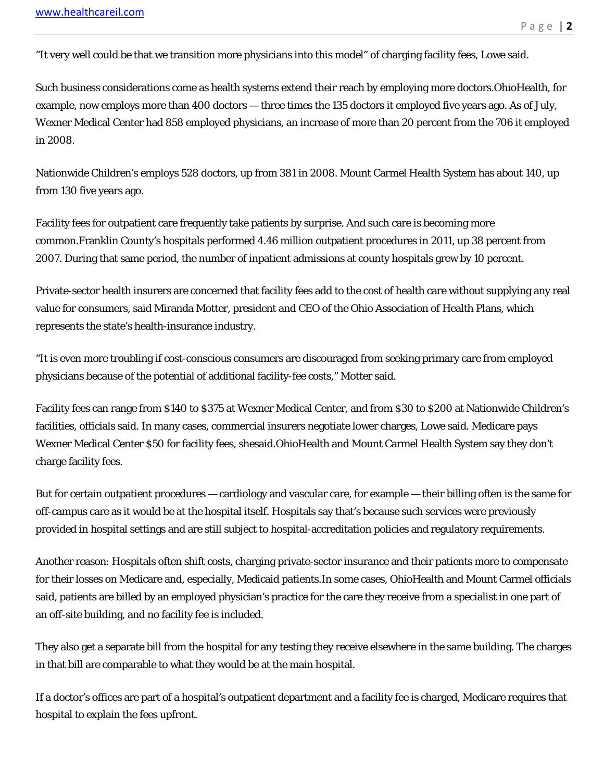"It very well could be that we transition more physicians into this model" of charging facility fees, Lowe said.

Such business considerations come as health systems extend their reach by employing more doctors.OhioHealth, for example, now employs more than 400 doctors — three times the 135 doctors it employed five years ago. As of July, Wexner Medical Center had 858 employed physicians, an increase of more than 20 percent from the 706 it employed in 2008.

Nationwide Children's employs 528 doctors, up from 381 in 2008. Mount Carmel Health System has about 140, up from 130 five years ago.

Facility fees for outpatient care frequently take patients by surprise. And such care is becoming more common.Franklin County's hospitals performed 4.46 million outpatient procedures in 2011, up 38 percent from 2007. During that same period, the number of inpatient admissions at county hospitals grew by 10 percent.

Private-sector health insurers are concerned that facility fees add to the cost of health care without supplying any real value for consumers, said Miranda Motter, president and CEO of the Ohio Association of Health Plans, which represents the state's health-insurance industry.

"It is even more troubling if cost-conscious consumers are discouraged from seeking primary care from employed physicians because of the potential of additional facility-fee costs," Motter said.

Facility fees can range from \$140 to \$375 at Wexner Medical Center, and from \$30 to \$200 at Nationwide Children's facilities, officials said. In many cases, commercial insurers negotiate lower charges, Lowe said. Medicare pays Wexner Medical Center \$50 for facility fees, shesaid.OhioHealth and Mount Carmel Health System say they don't charge facility fees.

But for certain outpatient procedures — cardiology and vascular care, for example — their billing often is the same for off-campus care as it would be at the hospital itself. Hospitals say that's because such services were previously provided in hospital settings and are still subject to hospital-accreditation policies and regulatory requirements.

Another reason: Hospitals often shift costs, charging private-sector insurance and their patients more to compensate for their losses on Medicare and, especially, Medicaid patients.In some cases, OhioHealth and Mount Carmel officials said, patients are billed by an employed physician's practice for the care they receive from a specialist in one part of an off-site building, and no facility fee is included.

They also get a separate bill from the hospital for any testing they receive elsewhere in the same building. The charges in that bill are comparable to what they would be at the main hospital.

If a doctor's offices are part of a hospital's outpatient department and a facility fee is charged, Medicare requires that hospital to explain the fees upfront.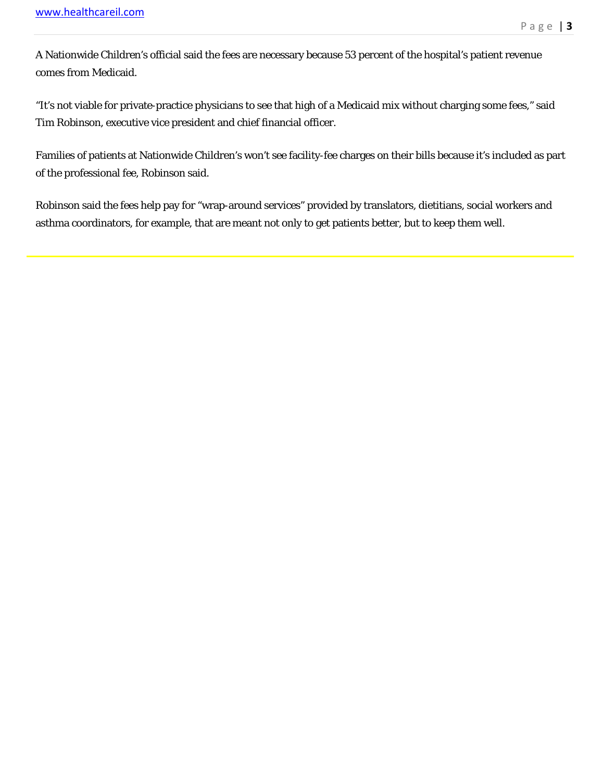j

A Nationwide Children's official said the fees are necessary because 53 percent of the hospital's patient revenue comes from Medicaid.

"It's not viable for private-practice physicians to see that high of a Medicaid mix without charging some fees," said Tim Robinson, executive vice president and chief financial officer.

Families of patients at Nationwide Children's won't see facility-fee charges on their bills because it's included as part of the professional fee, Robinson said.

Robinson said the fees help pay for "wrap-around services" provided by translators, dietitians, social workers and asthma coordinators, for example, that are meant not only to get patients better, but to keep them well.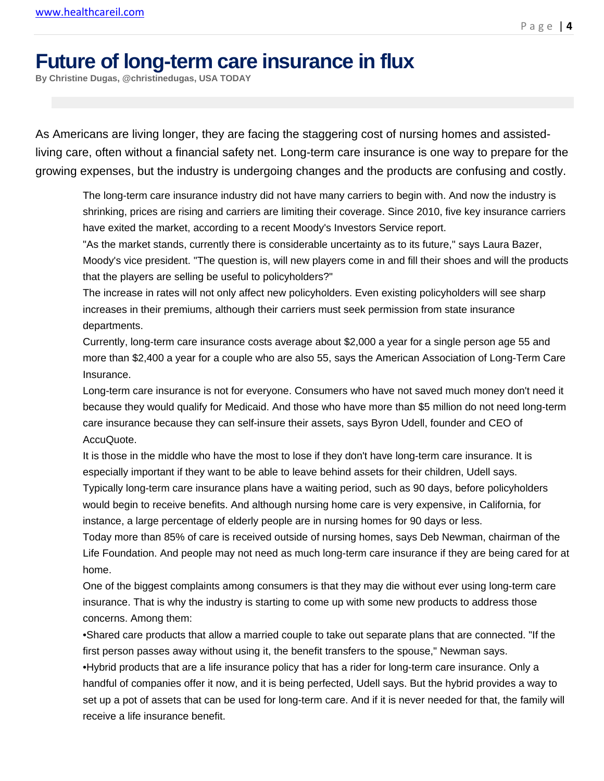### **Future of long-term care insurance in flux**

**By Christine Dugas, @christinedugas, USA TODAY** 

As Americans are living longer, they are facing the staggering cost of nursing homes and assistedliving care, often without a financial safety net. Long-term care insurance is one way to prepare for the growing expenses, but the industry is undergoing changes and the products are confusing and costly.

The long-term care insurance industry did not have many carriers to begin with. And now the industry is shrinking, prices are rising and carriers are limiting their coverage. Since 2010, five key insurance carriers have exited the market, according to a recent Moody's Investors Service report.

"As the market stands, currently there is considerable uncertainty as to its future," says Laura Bazer, Moody's vice president. "The question is, will new players come in and fill their shoes and will the products that the players are selling be useful to policyholders?"

The increase in rates will not only affect new policyholders. Even existing policyholders will see sharp increases in their premiums, although their carriers must seek permission from state insurance departments.

Currently, long-term care insurance costs average about \$2,000 a year for a single person age 55 and more than \$2,400 a year for a couple who are also 55, says the American Association of Long-Term Care Insurance.

Long-term care insurance is not for everyone. Consumers who have not saved much money don't need it because they would qualify for Medicaid. And those who have more than \$5 million do not need long-term care insurance because they can self-insure their assets, says Byron Udell, founder and CEO of AccuQuote.

It is those in the middle who have the most to lose if they don't have long-term care insurance. It is especially important if they want to be able to leave behind assets for their children, Udell says. Typically long-term care insurance plans have a waiting period, such as 90 days, before policyholders would begin to receive benefits. And although nursing home care is very expensive, in California, for instance, a large percentage of elderly people are in nursing homes for 90 days or less.

Today more than 85% of care is received outside of nursing homes, says Deb Newman, chairman of the Life Foundation. And people may not need as much long-term care insurance if they are being cared for at home.

One of the biggest complaints among consumers is that they may die without ever using long-term care insurance. That is why the industry is starting to come up with some new products to address those concerns. Among them:

•Shared care products that allow a married couple to take out separate plans that are connected. "If the first person passes away without using it, the benefit transfers to the spouse," Newman says.

•Hybrid products that are a life insurance policy that has a rider for long-term care insurance. Only a handful of companies offer it now, and it is being perfected, Udell says. But the hybrid provides a way to set up a pot of assets that can be used for long-term care. And if it is never needed for that, the family will receive a life insurance benefit.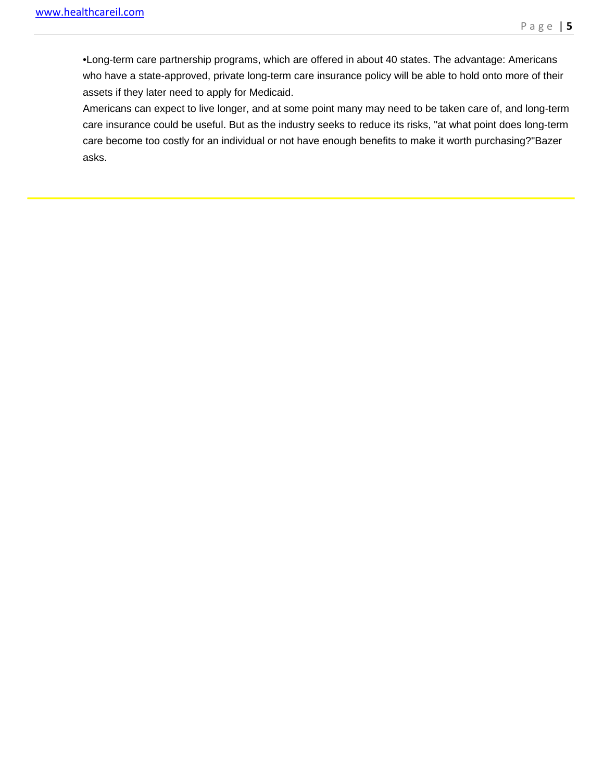•Long-term care partnership programs, which are offered in about 40 states. The advantage: Americans who have a state-approved, private long-term care insurance policy will be able to hold onto more of their assets if they later need to apply for Medicaid.

Americans can expect to live longer, and at some point many may need to be taken care of, and long-term care insurance could be useful. But as the industry seeks to reduce its risks, "at what point does long-term care become too costly for an individual or not have enough benefits to make it worth purchasing?"Bazer asks.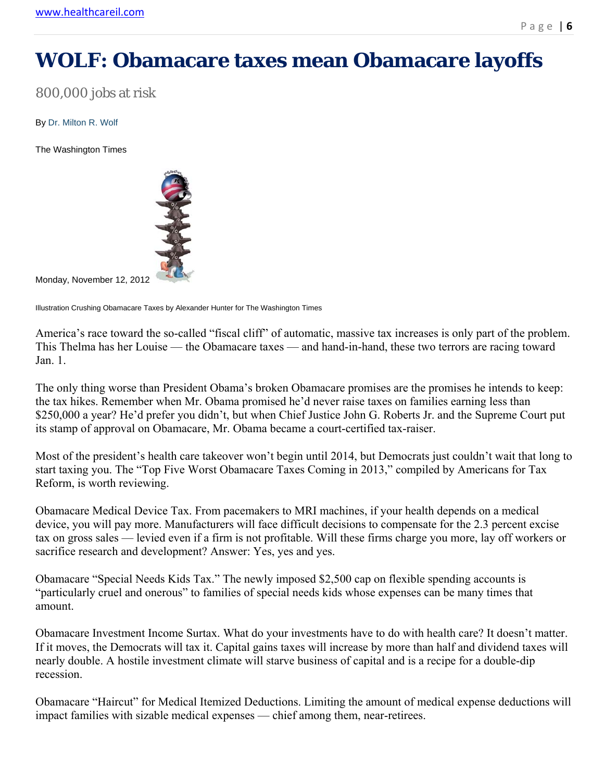## **WOLF: Obamacare taxes mean Obamacare layoffs**

800,000 jobs at risk

By Dr. Milton R. Wolf

The Washington Times



Monday, November 12, 2012

Illustration Crushing Obamacare Taxes by Alexander Hunter for The Washington Times

America's race toward the so-called "fiscal cliff" of automatic, massive tax increases is only part of the problem. This Thelma has her Louise — the Obamacare taxes — and hand-in-hand, these two terrors are racing toward Jan. 1.

The only thing worse than President Obama's broken Obamacare promises are the promises he intends to keep: the tax hikes. Remember when Mr. Obama promised he'd never raise taxes on families earning less than \$250,000 a year? He'd prefer you didn't, but when Chief Justice John G. Roberts Jr. and the Supreme Court put its stamp of approval on Obamacare, Mr. Obama became a court-certified tax-raiser.

Most of the president's health care takeover won't begin until 2014, but Democrats just couldn't wait that long to start taxing you. The "Top Five Worst Obamacare Taxes Coming in 2013," compiled by Americans for Tax Reform, is worth reviewing.

Obamacare Medical Device Tax. From pacemakers to MRI machines, if your health depends on a medical device, you will pay more. Manufacturers will face difficult decisions to compensate for the 2.3 percent excise tax on gross sales — levied even if a firm is not profitable. Will these firms charge you more, lay off workers or sacrifice research and development? Answer: Yes, yes and yes.

Obamacare "Special Needs Kids Tax." The newly imposed \$2,500 cap on flexible spending accounts is "particularly cruel and onerous" to families of special needs kids whose expenses can be many times that amount.

Obamacare Investment Income Surtax. What do your investments have to do with health care? It doesn't matter. If it moves, the Democrats will tax it. Capital gains taxes will increase by more than half and dividend taxes will nearly double. A hostile investment climate will starve business of capital and is a recipe for a double-dip recession.

Obamacare "Haircut" for Medical Itemized Deductions. Limiting the amount of medical expense deductions will impact families with sizable medical expenses — chief among them, near-retirees.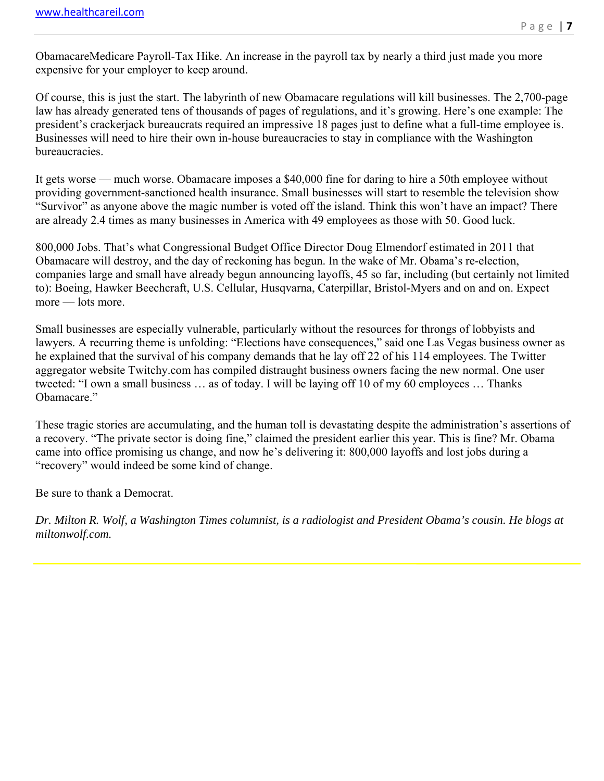ObamacareMedicare Payroll-Tax Hike. An increase in the payroll tax by nearly a third just made you more expensive for your employer to keep around.

Of course, this is just the start. The labyrinth of new Obamacare regulations will kill businesses. The 2,700-page law has already generated tens of thousands of pages of regulations, and it's growing. Here's one example: The president's crackerjack bureaucrats required an impressive 18 pages just to define what a full-time employee is. Businesses will need to hire their own in-house bureaucracies to stay in compliance with the Washington bureaucracies.

It gets worse — much worse. Obamacare imposes a \$40,000 fine for daring to hire a 50th employee without providing government-sanctioned health insurance. Small businesses will start to resemble the television show "Survivor" as anyone above the magic number is voted off the island. Think this won't have an impact? There are already 2.4 times as many businesses in America with 49 employees as those with 50. Good luck.

800,000 Jobs. That's what Congressional Budget Office Director Doug Elmendorf estimated in 2011 that Obamacare will destroy, and the day of reckoning has begun. In the wake of Mr. Obama's re-election, companies large and small have already begun announcing layoffs, 45 so far, including (but certainly not limited to): Boeing, Hawker Beechcraft, U.S. Cellular, Husqvarna, Caterpillar, Bristol-Myers and on and on. Expect more — lots more.

Small businesses are especially vulnerable, particularly without the resources for throngs of lobbyists and lawyers. A recurring theme is unfolding: "Elections have consequences," said one Las Vegas business owner as he explained that the survival of his company demands that he lay off 22 of his 114 employees. The Twitter aggregator website Twitchy.com has compiled distraught business owners facing the new normal. One user tweeted: "I own a small business … as of today. I will be laying off 10 of my 60 employees … Thanks Obamacare."

These tragic stories are accumulating, and the human toll is devastating despite the administration's assertions of a recovery. "The private sector is doing fine," claimed the president earlier this year. This is fine? Mr. Obama came into office promising us change, and now he's delivering it: 800,000 layoffs and lost jobs during a "recovery" would indeed be some kind of change.

Be sure to thank a Democrat.

*Dr. Milton R. Wolf, a Washington Times columnist, is a radiologist and President Obama's cousin. He blogs at miltonwolf.com.*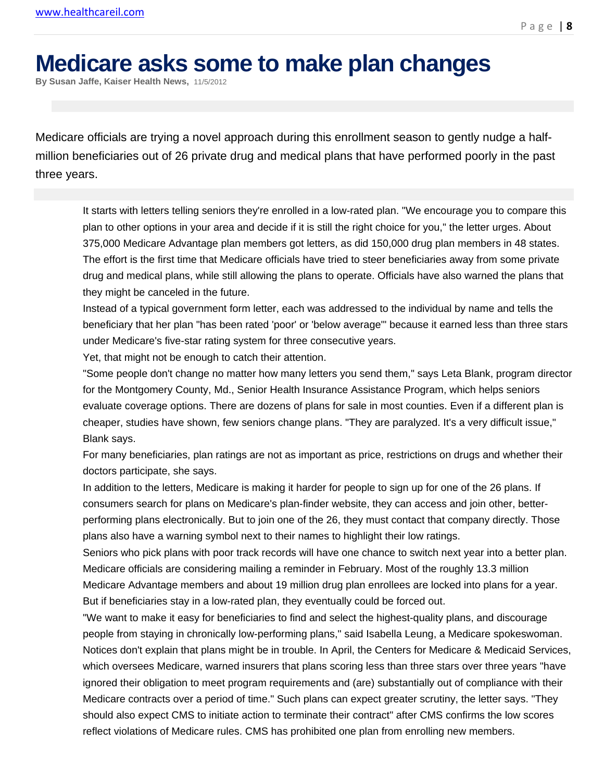# **Medicare asks some to make plan changes**

**By Susan Jaffe, Kaiser Health News,** 11/5/2012

Medicare officials are trying a novel approach during this enrollment season to gently nudge a halfmillion beneficiaries out of 26 private drug and medical plans that have performed poorly in the past three years.

It starts with letters telling seniors they're enrolled in a low-rated plan. "We encourage you to compare this plan to other options in your area and decide if it is still the right choice for you," the letter urges. About 375,000 Medicare Advantage plan members got letters, as did 150,000 drug plan members in 48 states. The effort is the first time that Medicare officials have tried to steer beneficiaries away from some private drug and medical plans, while still allowing the plans to operate. Officials have also warned the plans that they might be canceled in the future.

Instead of a typical government form letter, each was addressed to the individual by name and tells the beneficiary that her plan "has been rated 'poor' or 'below average'" because it earned less than three stars under Medicare's five-star rating system for three consecutive years.

Yet, that might not be enough to catch their attention.

"Some people don't change no matter how many letters you send them," says Leta Blank, program director for the Montgomery County, Md., Senior Health Insurance Assistance Program, which helps seniors evaluate coverage options. There are dozens of plans for sale in most counties. Even if a different plan is cheaper, studies have shown, few seniors change plans. "They are paralyzed. It's a very difficult issue," Blank says.

For many beneficiaries, plan ratings are not as important as price, restrictions on drugs and whether their doctors participate, she says.

In addition to the letters, Medicare is making it harder for people to sign up for one of the 26 plans. If consumers search for plans on Medicare's plan-finder website, they can access and join other, betterperforming plans electronically. But to join one of the 26, they must contact that company directly. Those plans also have a warning symbol next to their names to highlight their low ratings.

Seniors who pick plans with poor track records will have one chance to switch next year into a better plan. Medicare officials are considering mailing a reminder in February. Most of the roughly 13.3 million Medicare Advantage members and about 19 million drug plan enrollees are locked into plans for a year. But if beneficiaries stay in a low-rated plan, they eventually could be forced out.

"We want to make it easy for beneficiaries to find and select the highest-quality plans, and discourage people from staying in chronically low-performing plans," said Isabella Leung, a Medicare spokeswoman. Notices don't explain that plans might be in trouble. In April, the Centers for Medicare & Medicaid Services, which oversees Medicare, warned insurers that plans scoring less than three stars over three years "have ignored their obligation to meet program requirements and (are) substantially out of compliance with their Medicare contracts over a period of time." Such plans can expect greater scrutiny, the letter says. "They should also expect CMS to initiate action to terminate their contract" after CMS confirms the low scores reflect violations of Medicare rules. CMS has prohibited one plan from enrolling new members.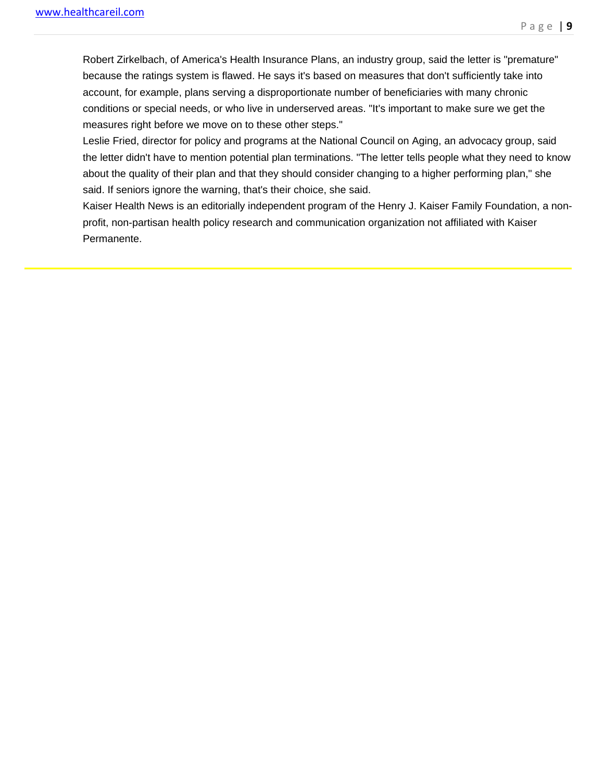l.

Robert Zirkelbach, of America's Health Insurance Plans, an industry group, said the letter is "premature" because the ratings system is flawed. He says it's based on measures that don't sufficiently take into account, for example, plans serving a disproportionate number of beneficiaries with many chronic conditions or special needs, or who live in underserved areas. "It's important to make sure we get the measures right before we move on to these other steps."

Leslie Fried, director for policy and programs at the National Council on Aging, an advocacy group, said the letter didn't have to mention potential plan terminations. "The letter tells people what they need to know about the quality of their plan and that they should consider changing to a higher performing plan," she said. If seniors ignore the warning, that's their choice, she said.

Kaiser Health News is an editorially independent program of the Henry J. Kaiser Family Foundation, a nonprofit, non-partisan health policy research and communication organization not affiliated with Kaiser Permanente.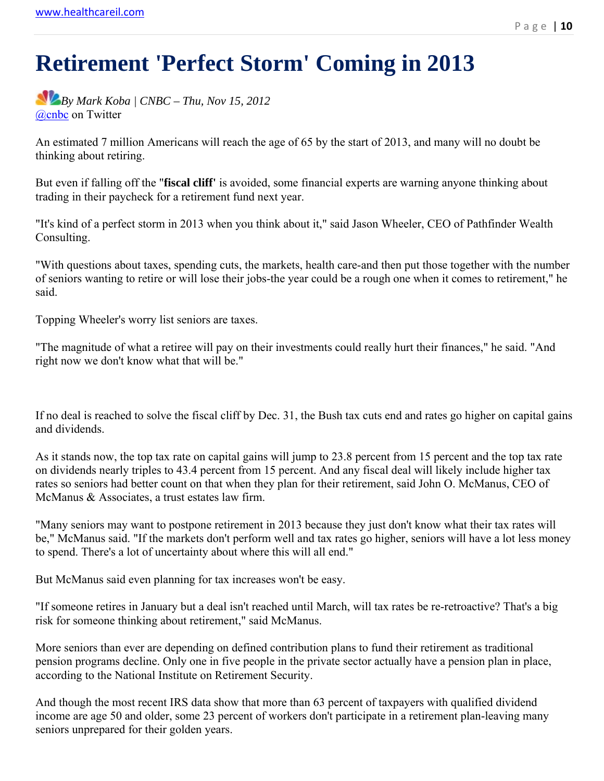# **Retirement 'Perfect Storm' Coming in 2013**

*By Mark Koba | CNBC – Thu, Nov 15, 2012*  **@cnbc** on Twitter

An estimated 7 million Americans will reach the age of 65 by the start of 2013, and many will no doubt be thinking about retiring.

But even if falling off the "**fiscal cliff'** is avoided, some financial experts are warning anyone thinking about trading in their paycheck for a retirement fund next year.

"It's kind of a perfect storm in 2013 when you think about it," said Jason Wheeler, CEO of Pathfinder Wealth Consulting.

"With questions about taxes, spending cuts, the markets, health care-and then put those together with the number of seniors wanting to retire or will lose their jobs-the year could be a rough one when it comes to retirement," he said.

Topping Wheeler's worry list seniors are taxes.

"The magnitude of what a retiree will pay on their investments could really hurt their finances," he said. "And right now we don't know what that will be."

If no deal is reached to solve the fiscal cliff by Dec. 31, the Bush tax cuts end and rates go higher on capital gains and dividends.

As it stands now, the top tax rate on capital gains will jump to 23.8 percent from 15 percent and the top tax rate on dividends nearly triples to 43.4 percent from 15 percent. And any fiscal deal will likely include higher tax rates so seniors had better count on that when they plan for their retirement, said John O. McManus, CEO of McManus & Associates, a trust estates law firm.

"Many seniors may want to postpone retirement in 2013 because they just don't know what their tax rates will be," McManus said. "If the markets don't perform well and tax rates go higher, seniors will have a lot less money to spend. There's a lot of uncertainty about where this will all end."

But McManus said even planning for tax increases won't be easy.

"If someone retires in January but a deal isn't reached until March, will tax rates be re-retroactive? That's a big risk for someone thinking about retirement," said McManus.

More seniors than ever are depending on defined contribution plans to fund their retirement as traditional pension programs decline. Only one in five people in the private sector actually have a pension plan in place, according to the National Institute on Retirement Security.

And though the most recent IRS data show that more than 63 percent of taxpayers with qualified dividend income are age 50 and older, some 23 percent of workers don't participate in a retirement plan-leaving many seniors unprepared for their golden years.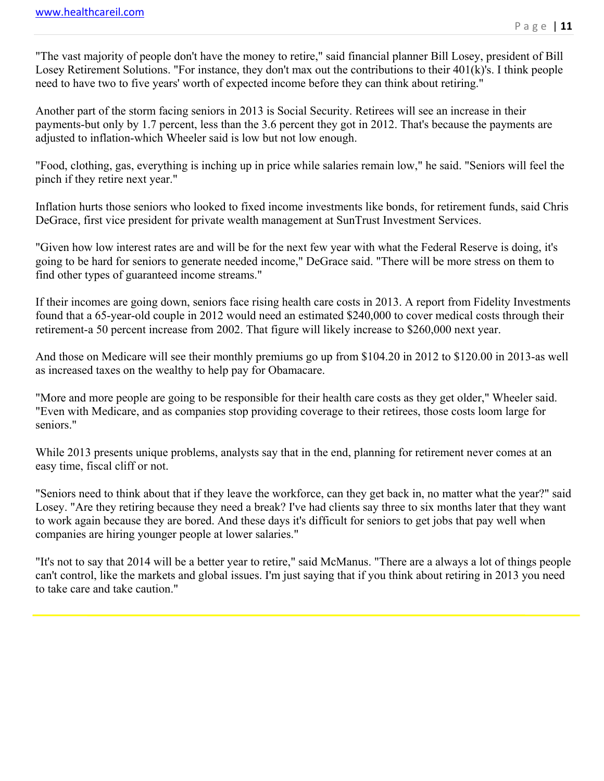"The vast majority of people don't have the money to retire," said financial planner Bill Losey, president of Bill Losey Retirement Solutions. "For instance, they don't max out the contributions to their 401(k)'s. I think people need to have two to five years' worth of expected income before they can think about retiring."

Another part of the storm facing seniors in 2013 is Social Security. Retirees will see an increase in their payments-but only by 1.7 percent, less than the 3.6 percent they got in 2012. That's because the payments are adjusted to inflation-which Wheeler said is low but not low enough.

"Food, clothing, gas, everything is inching up in price while salaries remain low," he said. "Seniors will feel the pinch if they retire next year."

Inflation hurts those seniors who looked to fixed income investments like bonds, for retirement funds, said Chris DeGrace, first vice president for private wealth management at SunTrust Investment Services.

"Given how low interest rates are and will be for the next few year with what the Federal Reserve is doing, it's going to be hard for seniors to generate needed income," DeGrace said. "There will be more stress on them to find other types of guaranteed income streams."

If their incomes are going down, seniors face rising health care costs in 2013. A report from Fidelity Investments found that a 65-year-old couple in 2012 would need an estimated \$240,000 to cover medical costs through their retirement-a 50 percent increase from 2002. That figure will likely increase to \$260,000 next year.

And those on Medicare will see their monthly premiums go up from \$104.20 in 2012 to \$120.00 in 2013-as well as increased taxes on the wealthy to help pay for Obamacare.

"More and more people are going to be responsible for their health care costs as they get older," Wheeler said. "Even with Medicare, and as companies stop providing coverage to their retirees, those costs loom large for seniors<sup>"</sup>

While 2013 presents unique problems, analysts say that in the end, planning for retirement never comes at an easy time, fiscal cliff or not.

"Seniors need to think about that if they leave the workforce, can they get back in, no matter what the year?" said Losey. "Are they retiring because they need a break? I've had clients say three to six months later that they want to work again because they are bored. And these days it's difficult for seniors to get jobs that pay well when companies are hiring younger people at lower salaries."

"It's not to say that 2014 will be a better year to retire," said McManus. "There are a always a lot of things people can't control, like the markets and global issues. I'm just saying that if you think about retiring in 2013 you need to take care and take caution."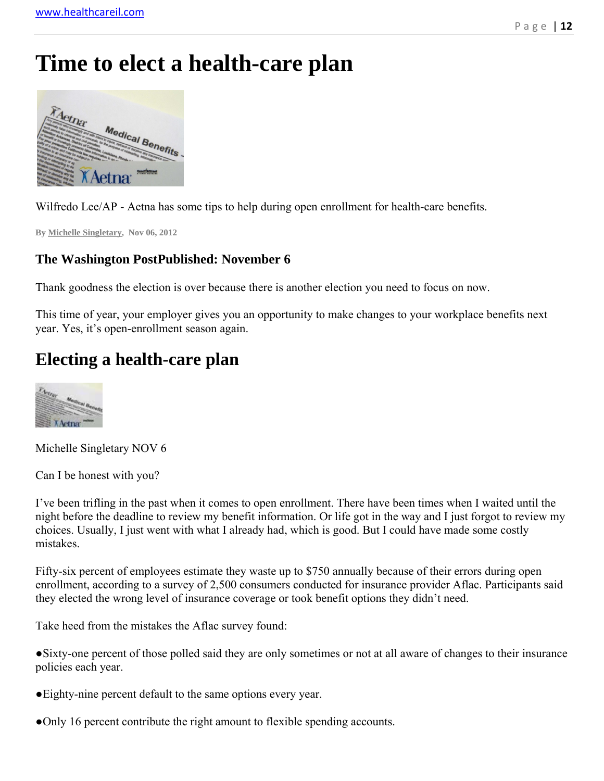# **Time to elect a health-care plan**



Wilfredo Lee/AP - Aetna has some tips to help during open enrollment for health-care benefits.

**By Michelle Singletary, Nov 06, 2012** 

### **The Washington PostPublished: November 6**

Thank goodness the election is over because there is another election you need to focus on now.

This time of year, your employer gives you an opportunity to make changes to your workplace benefits next year. Yes, it's open-enrollment season again.

### **Electing a health-care plan**



Michelle Singletary NOV 6

Can I be honest with you?

I've been trifling in the past when it comes to open enrollment. There have been times when I waited until the night before the deadline to review my benefit information. Or life got in the way and I just forgot to review my choices. Usually, I just went with what I already had, which is good. But I could have made some costly mistakes.

Fifty-six percent of employees estimate they waste up to \$750 annually because of their errors during open enrollment, according to a survey of 2,500 consumers conducted for insurance provider Aflac. Participants said they elected the wrong level of insurance coverage or took benefit options they didn't need.

Take heed from the mistakes the Aflac survey found:

●Sixty-one percent of those polled said they are only sometimes or not at all aware of changes to their insurance policies each year.

●Eighty-nine percent default to the same options every year.

●Only 16 percent contribute the right amount to flexible spending accounts.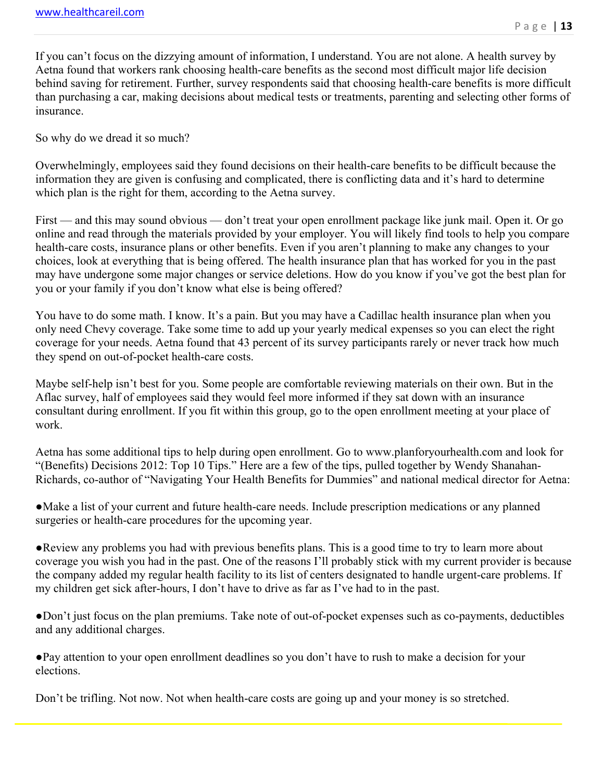If you can't focus on the dizzying amount of information, I understand. You are not alone. A health survey by Aetna found that workers rank choosing health-care benefits as the second most difficult major life decision behind saving for retirement. Further, survey respondents said that choosing health-care benefits is more difficult than purchasing a car, making decisions about medical tests or treatments, parenting and selecting other forms of insurance.

So why do we dread it so much?

Overwhelmingly, employees said they found decisions on their health-care benefits to be difficult because the information they are given is confusing and complicated, there is conflicting data and it's hard to determine which plan is the right for them, according to the Aetna survey.

First — and this may sound obvious — don't treat your open enrollment package like junk mail. Open it. Or go online and read through the materials provided by your employer. You will likely find tools to help you compare health-care costs, insurance plans or other benefits. Even if you aren't planning to make any changes to your choices, look at everything that is being offered. The health insurance plan that has worked for you in the past may have undergone some major changes or service deletions. How do you know if you've got the best plan for you or your family if you don't know what else is being offered?

You have to do some math. I know. It's a pain. But you may have a Cadillac health insurance plan when you only need Chevy coverage. Take some time to add up your yearly medical expenses so you can elect the right coverage for your needs. Aetna found that 43 percent of its survey participants rarely or never track how much they spend on out-of-pocket health-care costs.

Maybe self-help isn't best for you. Some people are comfortable reviewing materials on their own. But in the Aflac survey, half of employees said they would feel more informed if they sat down with an insurance consultant during enrollment. If you fit within this group, go to the open enrollment meeting at your place of work.

Aetna has some additional tips to help during open enrollment. Go to www.planforyourhealth.com and look for "(Benefits) Decisions 2012: Top 10 Tips." Here are a few of the tips, pulled together by Wendy Shanahan-Richards, co-author of "Navigating Your Health Benefits for Dummies" and national medical director for Aetna:

●Make a list of your current and future health-care needs. Include prescription medications or any planned surgeries or health-care procedures for the upcoming year.

●Review any problems you had with previous benefits plans. This is a good time to try to learn more about coverage you wish you had in the past. One of the reasons I'll probably stick with my current provider is because the company added my regular health facility to its list of centers designated to handle urgent-care problems. If my children get sick after-hours, I don't have to drive as far as I've had to in the past.

●Don't just focus on the plan premiums. Take note of out-of-pocket expenses such as co-payments, deductibles and any additional charges.

●Pay attention to your open enrollment deadlines so you don't have to rush to make a decision for your elections.

Don't be trifling. Not now. Not when health-care costs are going up and your money is so stretched.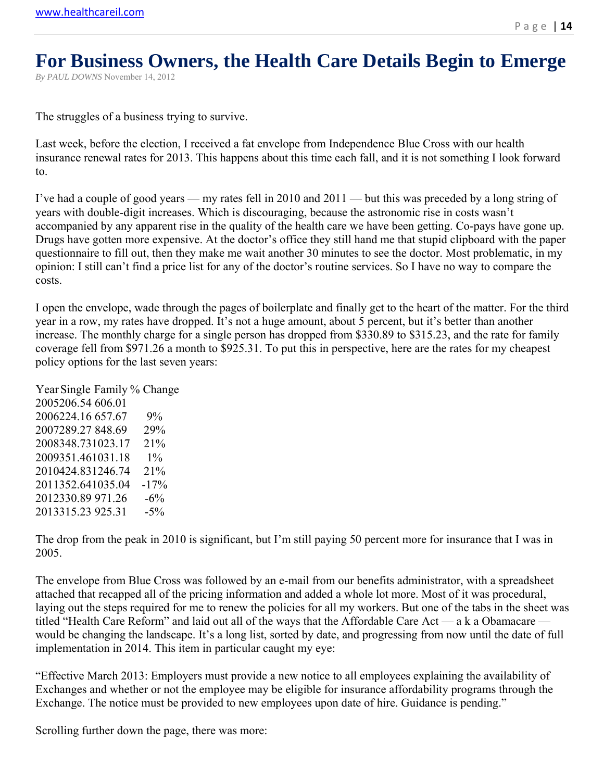### **For Business Owners, the Health Care Details Begin to Emerge**

*By PAUL DOWNS* November 14, 2012

The struggles of a business trying to survive.

Last week, before the election, I received a fat envelope from Independence Blue Cross with our health insurance renewal rates for 2013. This happens about this time each fall, and it is not something I look forward to.

I've had a couple of good years — my rates fell in 2010 and 2011 — but this was preceded by a long string of years with double-digit increases. Which is discouraging, because the astronomic rise in costs wasn't accompanied by any apparent rise in the quality of the health care we have been getting. Co-pays have gone up. Drugs have gotten more expensive. At the doctor's office they still hand me that stupid clipboard with the paper questionnaire to fill out, then they make me wait another 30 minutes to see the doctor. Most problematic, in my opinion: I still can't find a price list for any of the doctor's routine services. So I have no way to compare the costs.

I open the envelope, wade through the pages of boilerplate and finally get to the heart of the matter. For the third year in a row, my rates have dropped. It's not a huge amount, about 5 percent, but it's better than another increase. The monthly charge for a single person has dropped from \$330.89 to \$315.23, and the rate for family coverage fell from \$971.26 a month to \$925.31. To put this in perspective, here are the rates for my cheapest policy options for the last seven years:

Year Single Family % Change 2005206.54 606.01 2006224.16 657.67 9% 2007289.27 848.69 29% 2008348.731023.17 21% 2009351.461031.18 1% 2010424.831246.74 21% 2011352.641035.04 -17% 2012330.89 971.26 -6% 2013315.23 925.31 -5%

The drop from the peak in 2010 is significant, but I'm still paying 50 percent more for insurance that I was in 2005.

The envelope from Blue Cross was followed by an e-mail from our benefits administrator, with a spreadsheet attached that recapped all of the pricing information and added a whole lot more. Most of it was procedural, laying out the steps required for me to renew the policies for all my workers. But one of the tabs in the sheet was titled "Health Care Reform" and laid out all of the ways that the Affordable Care Act — a k a Obamacare would be changing the landscape. It's a long list, sorted by date, and progressing from now until the date of full implementation in 2014. This item in particular caught my eye:

"Effective March 2013: Employers must provide a new notice to all employees explaining the availability of Exchanges and whether or not the employee may be eligible for insurance affordability programs through the Exchange. The notice must be provided to new employees upon date of hire. Guidance is pending."

Scrolling further down the page, there was more: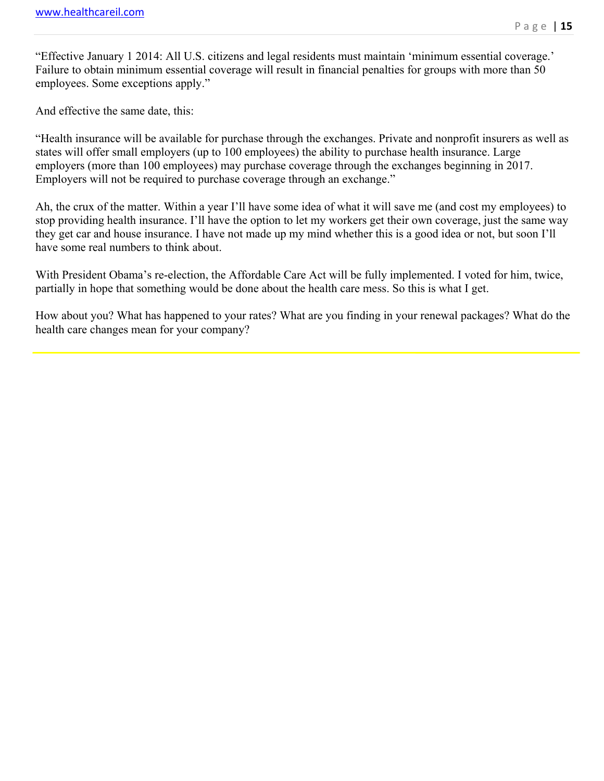"Effective January 1 2014: All U.S. citizens and legal residents must maintain 'minimum essential coverage.' Failure to obtain minimum essential coverage will result in financial penalties for groups with more than 50 employees. Some exceptions apply."

And effective the same date, this:

"Health insurance will be available for purchase through the exchanges. Private and nonprofit insurers as well as states will offer small employers (up to 100 employees) the ability to purchase health insurance. Large employers (more than 100 employees) may purchase coverage through the exchanges beginning in 2017. Employers will not be required to purchase coverage through an exchange."

Ah, the crux of the matter. Within a year I'll have some idea of what it will save me (and cost my employees) to stop providing health insurance. I'll have the option to let my workers get their own coverage, just the same way they get car and house insurance. I have not made up my mind whether this is a good idea or not, but soon I'll have some real numbers to think about.

With President Obama's re-election, the Affordable Care Act will be fully implemented. I voted for him, twice, partially in hope that something would be done about the health care mess. So this is what I get.

How about you? What has happened to your rates? What are you finding in your renewal packages? What do the health care changes mean for your company?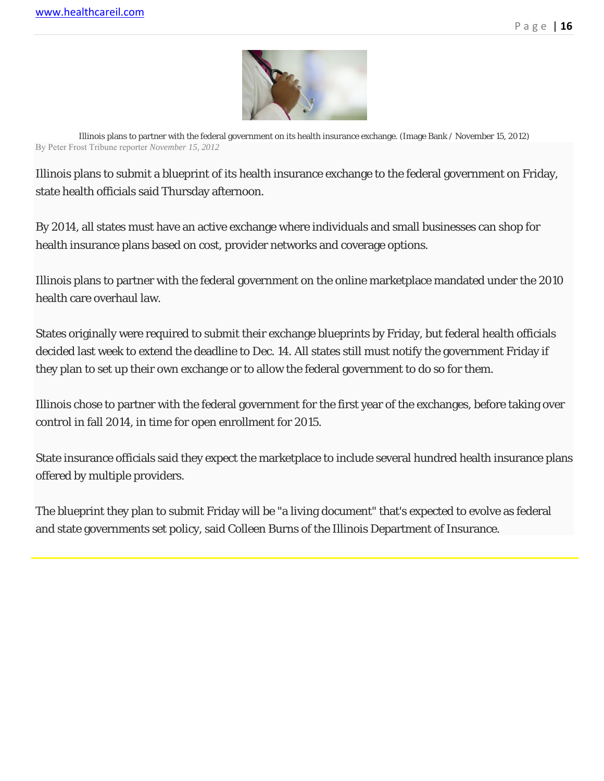

Illinois plans to partner with the federal government on its health insurance exchange. (Image Bank / November 15, 2012) By Peter Frost Tribune reporter *November 15, 2012* 

Illinois plans to submit a blueprint of its health insurance exchange to the federal government on Friday, state health officials said Thursday afternoon.

By 2014, all states must have an active exchange where individuals and small businesses can shop for health insurance plans based on cost, provider networks and coverage options.

Illinois plans to partner with the federal government on the online marketplace mandated under the 2010 health care overhaul law.

States originally were required to submit their exchange blueprints by Friday, but federal health officials decided last week to extend the deadline to Dec. 14. All states still must notify the government Friday if they plan to set up their own exchange or to allow the federal government to do so for them.

Illinois chose to partner with the federal government for the first year of the exchanges, before taking over control in fall 2014, in time for open enrollment for 2015.

State insurance officials said they expect the marketplace to include several hundred health insurance plans offered by multiple providers.

The blueprint they plan to submit Friday will be "a living document" that's expected to evolve as federal and state governments set policy, said Colleen Burns of the Illinois Department of Insurance.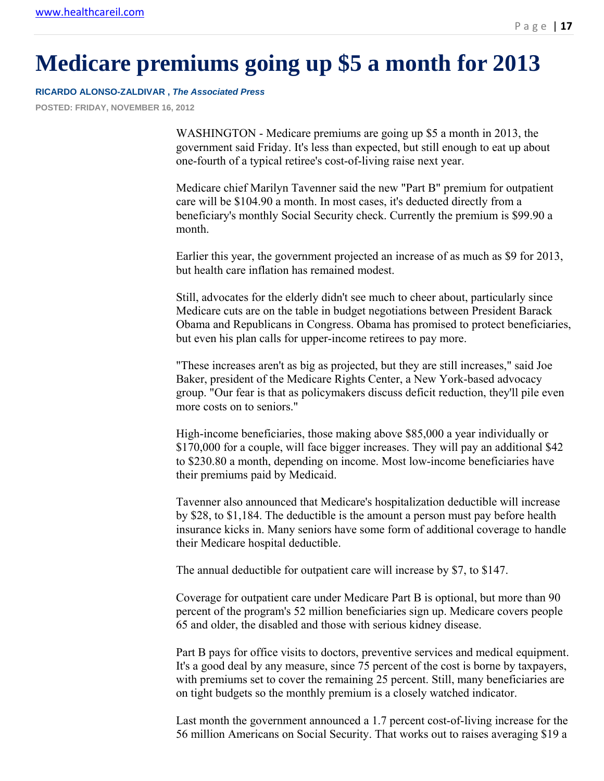# **Medicare premiums going up \$5 a month for 2013**

**RICARDO ALONSO-ZALDIVAR ,** *The Associated Press*

**POSTED: FRIDAY, NOVEMBER 16, 2012** 

WASHINGTON - Medicare premiums are going up \$5 a month in 2013, the government said Friday. It's less than expected, but still enough to eat up about one-fourth of a typical retiree's cost-of-living raise next year.

Medicare chief Marilyn Tavenner said the new "Part B" premium for outpatient care will be \$104.90 a month. In most cases, it's deducted directly from a beneficiary's monthly Social Security check. Currently the premium is \$99.90 a month.

Earlier this year, the government projected an increase of as much as \$9 for 2013, but health care inflation has remained modest.

Still, advocates for the elderly didn't see much to cheer about, particularly since Medicare cuts are on the table in budget negotiations between President Barack Obama and Republicans in Congress. Obama has promised to protect beneficiaries, but even his plan calls for upper-income retirees to pay more.

"These increases aren't as big as projected, but they are still increases," said Joe Baker, president of the Medicare Rights Center, a New York-based advocacy group. "Our fear is that as policymakers discuss deficit reduction, they'll pile even more costs on to seniors."

High-income beneficiaries, those making above \$85,000 a year individually or \$170,000 for a couple, will face bigger increases. They will pay an additional \$42 to \$230.80 a month, depending on income. Most low-income beneficiaries have their premiums paid by Medicaid.

Tavenner also announced that Medicare's hospitalization deductible will increase by \$28, to \$1,184. The deductible is the amount a person must pay before health insurance kicks in. Many seniors have some form of additional coverage to handle their Medicare hospital deductible.

The annual deductible for outpatient care will increase by \$7, to \$147.

Coverage for outpatient care under Medicare Part B is optional, but more than 90 percent of the program's 52 million beneficiaries sign up. Medicare covers people 65 and older, the disabled and those with serious kidney disease.

Part B pays for office visits to doctors, preventive services and medical equipment. It's a good deal by any measure, since 75 percent of the cost is borne by taxpayers, with premiums set to cover the remaining 25 percent. Still, many beneficiaries are on tight budgets so the monthly premium is a closely watched indicator.

Last month the government announced a 1.7 percent cost-of-living increase for the 56 million Americans on Social Security. That works out to raises averaging \$19 a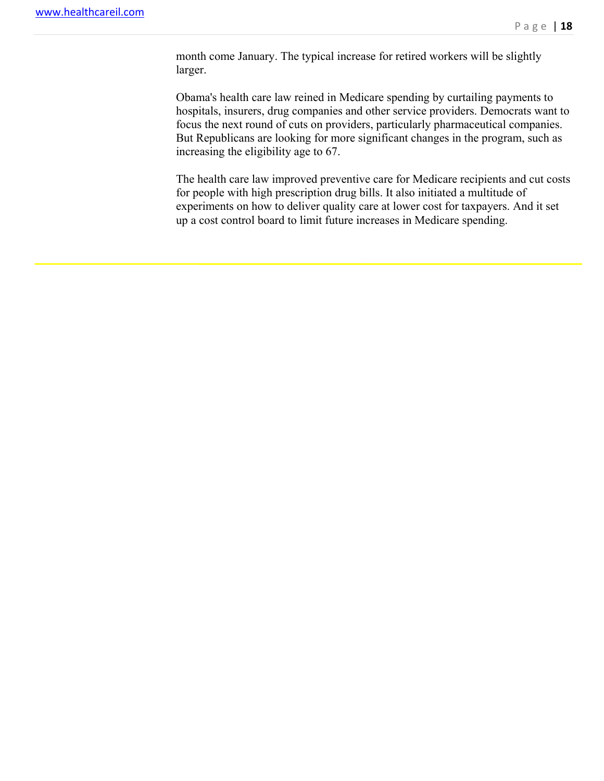month come January. The typical increase for retired workers will be slightly larger.

Obama's health care law reined in Medicare spending by curtailing payments to hospitals, insurers, drug companies and other service providers. Democrats want to focus the next round of cuts on providers, particularly pharmaceutical companies. But Republicans are looking for more significant changes in the program, such as increasing the eligibility age to 67.

The health care law improved preventive care for Medicare recipients and cut costs for people with high prescription drug bills. It also initiated a multitude of experiments on how to deliver quality care at lower cost for taxpayers. And it set up a cost control board to limit future increases in Medicare spending.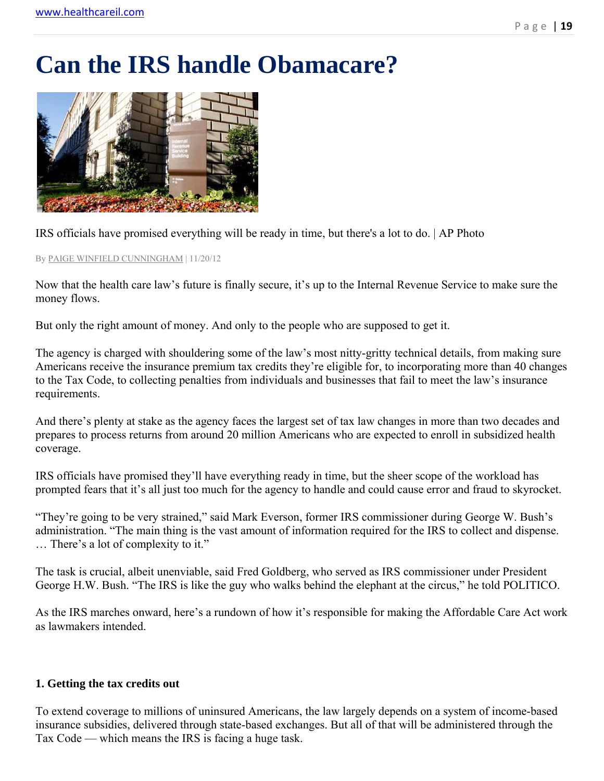# **Can the IRS handle Obamacare?**



IRS officials have promised everything will be ready in time, but there's a lot to do. | AP Photo

By PAIGE WINFIELD CUNNINGHAM | 11/20/12

Now that the health care law's future is finally secure, it's up to the Internal Revenue Service to make sure the money flows.

But only the right amount of money. And only to the people who are supposed to get it.

The agency is charged with shouldering some of the law's most nitty-gritty technical details, from making sure Americans receive the insurance premium tax credits they're eligible for, to incorporating more than 40 changes to the Tax Code, to collecting penalties from individuals and businesses that fail to meet the law's insurance requirements.

And there's plenty at stake as the agency faces the largest set of tax law changes in more than two decades and prepares to process returns from around 20 million Americans who are expected to enroll in subsidized health coverage.

IRS officials have promised they'll have everything ready in time, but the sheer scope of the workload has prompted fears that it's all just too much for the agency to handle and could cause error and fraud to skyrocket.

"They're going to be very strained," said Mark Everson, former IRS commissioner during George W. Bush's administration. "The main thing is the vast amount of information required for the IRS to collect and dispense. … There's a lot of complexity to it."

The task is crucial, albeit unenviable, said Fred Goldberg, who served as IRS commissioner under President George H.W. Bush. "The IRS is like the guy who walks behind the elephant at the circus," he told POLITICO.

As the IRS marches onward, here's a rundown of how it's responsible for making the Affordable Care Act work as lawmakers intended.

### **1. Getting the tax credits out**

To extend coverage to millions of uninsured Americans, the law largely depends on a system of income-based insurance subsidies, delivered through state-based exchanges. But all of that will be administered through the Tax Code — which means the IRS is facing a huge task.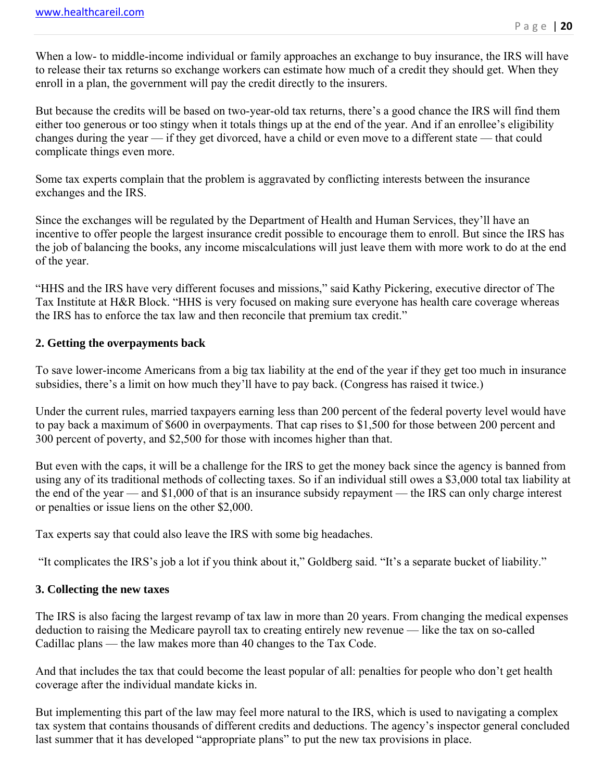When a low- to middle-income individual or family approaches an exchange to buy insurance, the IRS will have to release their tax returns so exchange workers can estimate how much of a credit they should get. When they enroll in a plan, the government will pay the credit directly to the insurers.

But because the credits will be based on two-year-old tax returns, there's a good chance the IRS will find them either too generous or too stingy when it totals things up at the end of the year. And if an enrollee's eligibility changes during the year — if they get divorced, have a child or even move to a different state — that could complicate things even more.

Some tax experts complain that the problem is aggravated by conflicting interests between the insurance exchanges and the IRS.

Since the exchanges will be regulated by the Department of Health and Human Services, they'll have an incentive to offer people the largest insurance credit possible to encourage them to enroll. But since the IRS has the job of balancing the books, any income miscalculations will just leave them with more work to do at the end of the year.

"HHS and the IRS have very different focuses and missions," said Kathy Pickering, executive director of The Tax Institute at H&R Block. "HHS is very focused on making sure everyone has health care coverage whereas the IRS has to enforce the tax law and then reconcile that premium tax credit."

#### **2. Getting the overpayments back**

To save lower-income Americans from a big tax liability at the end of the year if they get too much in insurance subsidies, there's a limit on how much they'll have to pay back. (Congress has raised it twice.)

Under the current rules, married taxpayers earning less than 200 percent of the federal poverty level would have to pay back a maximum of \$600 in overpayments. That cap rises to \$1,500 for those between 200 percent and 300 percent of poverty, and \$2,500 for those with incomes higher than that.

But even with the caps, it will be a challenge for the IRS to get the money back since the agency is banned from using any of its traditional methods of collecting taxes. So if an individual still owes a \$3,000 total tax liability at the end of the year — and \$1,000 of that is an insurance subsidy repayment — the IRS can only charge interest or penalties or issue liens on the other \$2,000.

Tax experts say that could also leave the IRS with some big headaches.

"It complicates the IRS's job a lot if you think about it," Goldberg said. "It's a separate bucket of liability."

### **3. Collecting the new taxes**

The IRS is also facing the largest revamp of tax law in more than 20 years. From changing the medical expenses deduction to raising the Medicare payroll tax to creating entirely new revenue — like the tax on so-called Cadillac plans — the law makes more than 40 changes to the Tax Code.

And that includes the tax that could become the least popular of all: penalties for people who don't get health coverage after the individual mandate kicks in.

But implementing this part of the law may feel more natural to the IRS, which is used to navigating a complex tax system that contains thousands of different credits and deductions. The agency's inspector general concluded last summer that it has developed "appropriate plans" to put the new tax provisions in place.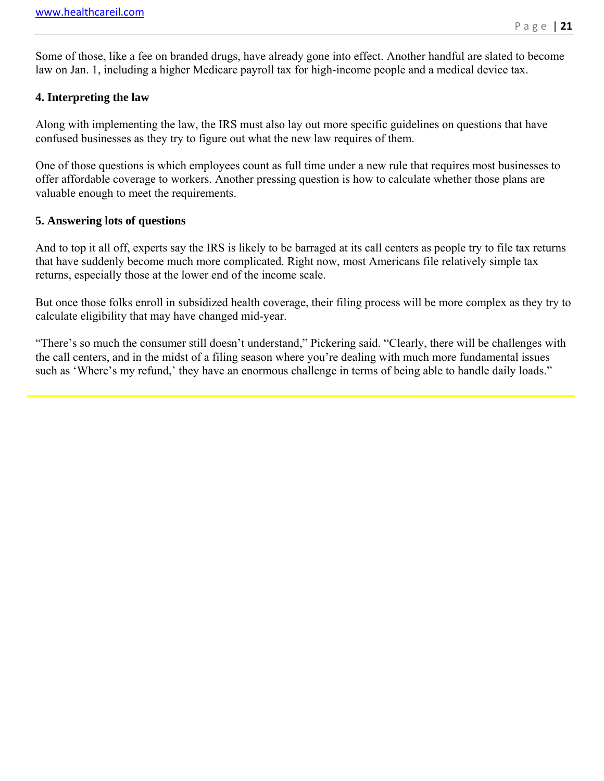Some of those, like a fee on branded drugs, have already gone into effect. Another handful are slated to become law on Jan. 1, including a higher Medicare payroll tax for high-income people and a medical device tax.

### **4. Interpreting the law**

Along with implementing the law, the IRS must also lay out more specific guidelines on questions that have confused businesses as they try to figure out what the new law requires of them.

One of those questions is which employees count as full time under a new rule that requires most businesses to offer affordable coverage to workers. Another pressing question is how to calculate whether those plans are valuable enough to meet the requirements.

#### **5. Answering lots of questions**

İ

And to top it all off, experts say the IRS is likely to be barraged at its call centers as people try to file tax returns that have suddenly become much more complicated. Right now, most Americans file relatively simple tax returns, especially those at the lower end of the income scale.

But once those folks enroll in subsidized health coverage, their filing process will be more complex as they try to calculate eligibility that may have changed mid-year.

"There's so much the consumer still doesn't understand," Pickering said. "Clearly, there will be challenges with the call centers, and in the midst of a filing season where you're dealing with much more fundamental issues such as 'Where's my refund,' they have an enormous challenge in terms of being able to handle daily loads."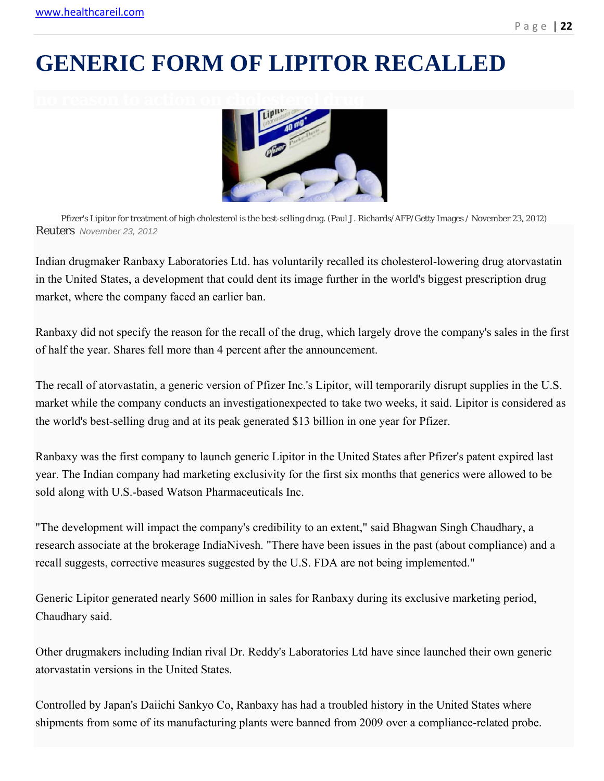# **GENERIC FORM OF LIPITOR RECALLED**



Pfizer's Lipitor for treatment of high cholesterol is the best-selling drug. (Paul J. Richards/AFP/Getty Images / November 23, 2012) Reuters *November 23, 2012* 

Indian drugmaker Ranbaxy Laboratories Ltd. has voluntarily recalled its cholesterol-lowering drug atorvastatin in the United States, a development that could dent its image further in the world's biggest prescription drug market, where the company faced an earlier ban.

Ranbaxy did not specify the reason for the recall of the drug, which largely drove the company's sales in the first of half the year. Shares fell more than 4 percent after the announcement.

The recall of atorvastatin, a generic version of Pfizer Inc.'s Lipitor, will temporarily disrupt supplies in the U.S. market while the company conducts an investigationexpected to take two weeks, it said. Lipitor is considered as the world's best-selling drug and at its peak generated \$13 billion in one year for Pfizer.

Ranbaxy was the first company to launch generic Lipitor in the United States after Pfizer's patent expired last year. The Indian company had marketing exclusivity for the first six months that generics were allowed to be sold along with U.S.-based Watson Pharmaceuticals Inc.

"The development will impact the company's credibility to an extent," said Bhagwan Singh Chaudhary, a research associate at the brokerage IndiaNivesh. "There have been issues in the past (about compliance) and a recall suggests, corrective measures suggested by the U.S. FDA are not being implemented."

Generic Lipitor generated nearly \$600 million in sales for Ranbaxy during its exclusive marketing period, Chaudhary said.

Other drugmakers including Indian rival Dr. Reddy's Laboratories Ltd have since launched their own generic atorvastatin versions in the United States.

Controlled by Japan's Daiichi Sankyo Co, Ranbaxy has had a troubled history in the United States where shipments from some of its manufacturing plants were banned from 2009 over a compliance-related probe.